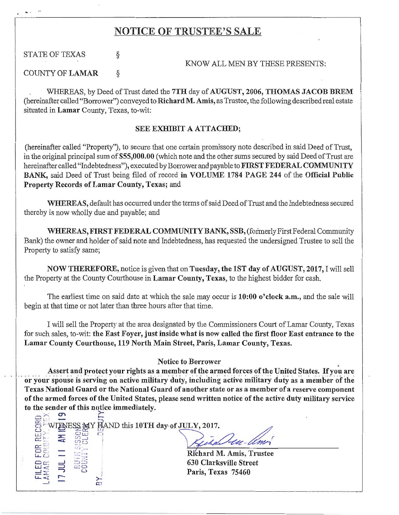## NOTICE OF TRUSTEE'S SALE

STATE OF TEXAS  $\S$ 

KNOW ALL MEN BY THESE PRESENTS:

COUNTY OF LAMAR  $\&$ 

 $\mathbb{R}^n$  =  $\frac{3n}{2}$ 

**FILEI<br>LAMAF<br>I J JU**<br>I RIGI

 $\frac{1}{2}$ 

WHEREAS, by Deed of Trust dated the 7TH day of AUGUST, 2006, THOMAS JACOB BREM (hereinafter called "Borrower") conveyed to Richard M. Amis, as Trustee, the following described real estate situated in Lamar County, Texas, to-wit:

## SEE EXHIBIT A ATTACHED;

(hereinafter called "Property"), to secure that one certain promissory note described in said Deed of Trust, in the original principal sum of \$55,000.00 (which note and the other sums secured by said Deed of Trust are hereinafter called "Indebtedness"), executed by Borrower and payable to FIRST FEDERAL COMMUNITY BANK, said Deed of Trust being filed of record in VOLUME 1784 PAGE 244 of the Official Public Property Records of Lamar County, Texas; and

WHEREAS, default has occurred under the terms of said Deed of Trust and the Indebtedness secured thereby is now wholly due and payable; and

WHEREAS, FIRST FEDERAL COMMUNITY BANK, SSB, (formerly First Federal Community Bank) the owner and holder of said note and Indebtedness, has requested the undersigned Trustee to sell the Property to satisfy same;

NOW THEREFORE, notice is given that on Tuesday, the lST day of AUGUST, 2017, I will sell the Property at the County Courthouse in Lamar County, Texas, to the highest bidder for cash.

The earliest time on said date at which the sale may occur is 10:00 o'clock a.m., and the sale will begin at that time or not later than three hours after that time.

I will sell the Property at the area designated by the Commissioners Court of Lamar County, Texas , for such sales, to-wit: the East Foyer, just inside what is now called the first floor East entrance to the Lamar County Courthouse, 119 North Main Street, Paris, Lamar County, Texas.

## Notice to Borrower

Assert and protect your rights as a member of the armed forces of the United States. If you are<br>or your spouse is serving on active military duty, including active military duty as a member of the Texas National Guard or the National Guard of another state or as a member of a reserve component of the armed forces of the United States, please send written notice of the active duty military service to the sender of this notice immediately.<br>  $\bigcap_{n=1}^{\infty}$  ...

**ENIESS 39T HAND this 10TH day of JULY, 2017.**  $\overline{a}$  is a set of  $\overline{a}$  . E WIEWESS MY HAND this 10TH day of JULY, 2017.  $\frac{H^2}{2}$  =  $\frac{S^2}{2}$  =  $\frac{S^2}{2}$   $=$   $\frac{S^2}{2}$   $=$   $\frac{S^2}{2}$   $=$   $\frac{S^2}{2}$   $=$   $\frac{S^2}{2}$   $=$   $\frac{S^2}{2}$   $=$   $\frac{S^2}{2}$   $=$   $\frac{S^2}{2}$   $=$   $\frac{S^2}{2}$   $=$   $\frac{S^2}{2}$   $=$   $\frac{S^2}{2}$   $=$   $\frac{S^2}{2}$   $=$ 

630 Clarksville Street Paris, Texas 75460